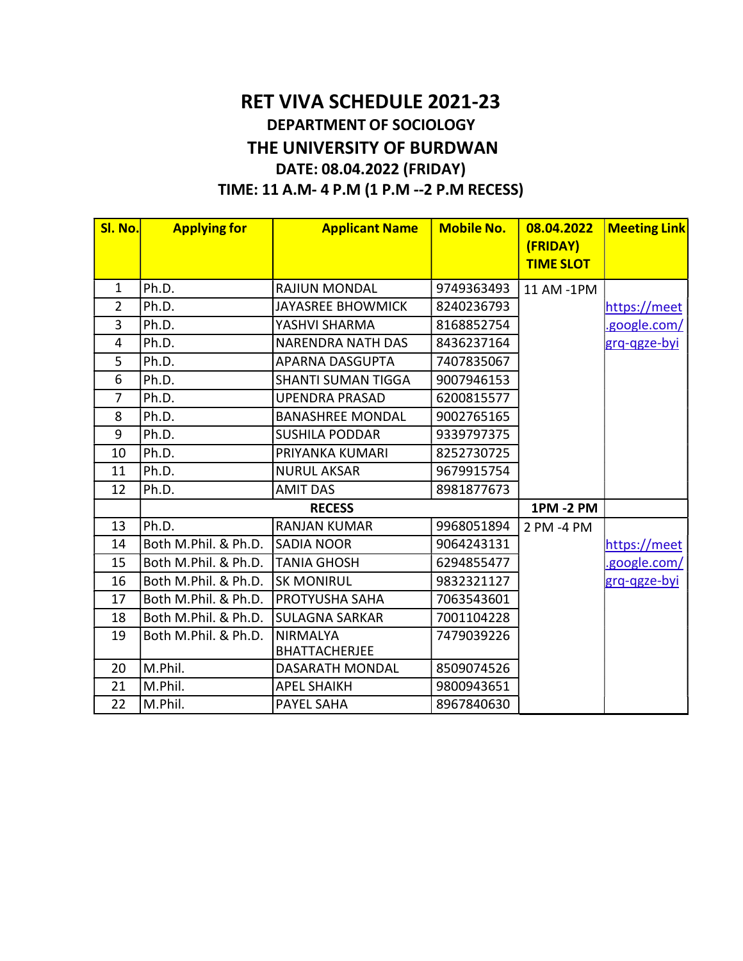## RET VIVA SCHEDULE 2021-23 DEPARTMENT OF SOCIOLOGY THE UNIVERSITY OF BURDWAN DATE: 08.04.2022 (FRIDAY) TIME: 11 A.M- 4 P.M (1 P.M --2 P.M RECESS)

| SI. No.        | <b>Applying for</b>  | <b>Applicant Name</b>                   | <b>Mobile No.</b> | 08.04.2022<br>(FRIDAY)<br><b>TIME SLOT</b> | <b>Meeting Link</b> |
|----------------|----------------------|-----------------------------------------|-------------------|--------------------------------------------|---------------------|
| $\mathbf{1}$   | Ph.D.                | <b>RAJIUN MONDAL</b>                    | 9749363493        | 11 AM -1PM                                 |                     |
| $\overline{2}$ | Ph.D.                | <b>JAYASREE BHOWMICK</b>                | 8240236793        |                                            | https://meet        |
| 3              | Ph.D.                | YASHVI SHARMA                           | 8168852754        |                                            | .google.com/        |
| $\overline{4}$ | Ph.D.                | <b>NARENDRA NATH DAS</b>                | 8436237164        |                                            | grq-qgze-byi        |
| 5              | Ph.D.                | <b>APARNA DASGUPTA</b>                  | 7407835067        |                                            |                     |
| 6              | Ph.D.                | <b>SHANTI SUMAN TIGGA</b>               | 9007946153        |                                            |                     |
| 7              | Ph.D.                | <b>UPENDRA PRASAD</b>                   | 6200815577        |                                            |                     |
| 8              | Ph.D.                | <b>BANASHREE MONDAL</b>                 | 9002765165        |                                            |                     |
| 9              | Ph.D.                | <b>SUSHILA PODDAR</b>                   | 9339797375        |                                            |                     |
| 10             | Ph.D.                | PRIYANKA KUMARI                         | 8252730725        |                                            |                     |
| 11             | Ph.D.                | <b>NURUL AKSAR</b>                      | 9679915754        |                                            |                     |
| 12             | Ph.D.                | <b>AMIT DAS</b>                         | 8981877673        |                                            |                     |
|                |                      | <b>RECESS</b>                           |                   | <b>1PM -2 PM</b>                           |                     |
| 13             | Ph.D.                | <b>RANJAN KUMAR</b>                     | 9968051894        | 2 PM -4 PM                                 |                     |
| 14             | Both M.Phil. & Ph.D. | <b>SADIA NOOR</b>                       | 9064243131        |                                            | https://meet        |
| 15             | Both M.Phil. & Ph.D. | <b>TANIA GHOSH</b>                      | 6294855477        |                                            | .google.com/        |
| 16             | Both M.Phil. & Ph.D. | <b>SK MONIRUL</b>                       | 9832321127        |                                            | grq-qgze-byi        |
| 17             | Both M.Phil. & Ph.D. | PROTYUSHA SAHA                          | 7063543601        |                                            |                     |
| 18             | Both M.Phil. & Ph.D. | <b>SULAGNA SARKAR</b>                   | 7001104228        |                                            |                     |
| 19             | Both M.Phil. & Ph.D. | <b>NIRMALYA</b><br><b>BHATTACHERJEE</b> | 7479039226        |                                            |                     |
| 20             | M.Phil.              | DASARATH MONDAL                         | 8509074526        |                                            |                     |
| 21             | M.Phil.              | <b>APEL SHAIKH</b>                      | 9800943651        |                                            |                     |
| 22             | M.Phil.              | <b>PAYEL SAHA</b>                       | 8967840630        |                                            |                     |